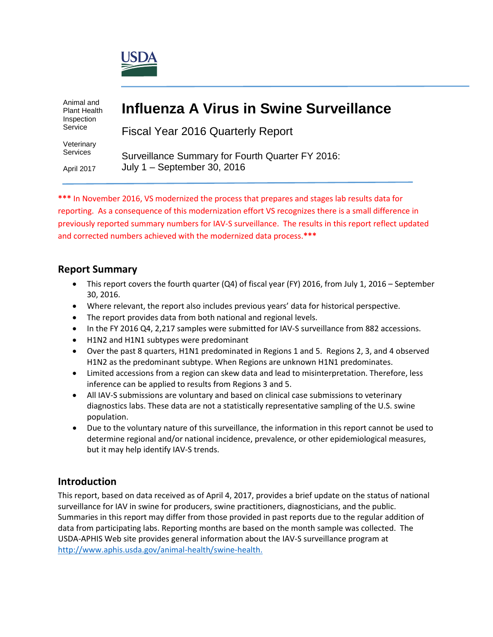

Animal and Plant Health Inspection Service

Veterinary Services

April 2017

# **Influenza A Virus in Swine Surveillance**

Fiscal Year 2016 Quarterly Report

Surveillance Summary for Fourth Quarter FY 2016: July 1 – September 30, 2016

**\*\*\*** In November 2016, VS modernized the process that prepares and stages lab results data for reporting. As a consequence of this modernization effort VS recognizes there is a small difference in previously reported summary numbers for IAV-S surveillance. The results in this report reflect updated and corrected numbers achieved with the modernized data process.**\*\*\***

### **Report Summary**

- This report covers the fourth quarter (Q4) of fiscal year (FY) 2016, from July 1, 2016 September 30, 2016.
- Where relevant, the report also includes previous years' data for historical perspective.
- The report provides data from both national and regional levels.
- In the FY 2016 Q4, 2,217 samples were submitted for IAV-S surveillance from 882 accessions.
- H1N2 and H1N1 subtypes were predominant
- Over the past 8 quarters, H1N1 predominated in Regions 1 and 5. Regions 2, 3, and 4 observed H1N2 as the predominant subtype. When Regions are unknown H1N1 predominates.
- Limited accessions from a region can skew data and lead to misinterpretation. Therefore, less inference can be applied to results from Regions 3 and 5.
- All IAV-S submissions are voluntary and based on clinical case submissions to veterinary diagnostics labs. These data are not a statistically representative sampling of the U.S. swine population.
- Due to the voluntary nature of this surveillance, the information in this report cannot be used to determine regional and/or national incidence, prevalence, or other epidemiological measures, but it may help identify IAV-S trends.

### **Introduction**

This report, based on data received as of April 4, 2017, provides a brief update on the status of national surveillance for IAV in swine for producers, swine practitioners, diagnosticians, and the public. Summaries in this report may differ from those provided in past reports due to the regular addition of data from participating labs. Reporting months are based on the month sample was collected. The USDA-APHIS Web site provides general information about the IAV-S surveillance program at [http://www.aphis.usda.gov/animal-health/swine-health.](http://www.aphis.usda.gov/wps/portal/aphis/ourfocus/animalhealth?1dmy&urile=wcm%3apath%3a%2Faphis_content_library%2Fsa_our_focus%2Fsa_animal_health%2Fsa_animal_disease_information%2Fsa_swine_health)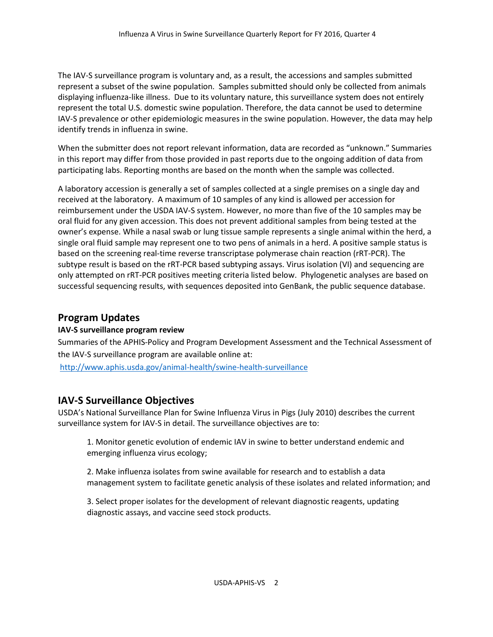The IAV-S surveillance program is voluntary and, as a result, the accessions and samples submitted represent a subset of the swine population. Samples submitted should only be collected from animals displaying influenza-like illness. Due to its voluntary nature, this surveillance system does not entirely represent the total U.S. domestic swine population. Therefore, the data cannot be used to determine IAV-S prevalence or other epidemiologic measures in the swine population. However, the data may help identify trends in influenza in swine.

When the submitter does not report relevant information, data are recorded as "unknown." Summaries in this report may differ from those provided in past reports due to the ongoing addition of data from participating labs. Reporting months are based on the month when the sample was collected.

A laboratory accession is generally a set of samples collected at a single premises on a single day and received at the laboratory. A maximum of 10 samples of any kind is allowed per accession for reimbursement under the USDA IAV-S system. However, no more than five of the 10 samples may be oral fluid for any given accession. This does not prevent additional samples from being tested at the owner's expense. While a nasal swab or lung tissue sample represents a single animal within the herd, a single oral fluid sample may represent one to two pens of animals in a herd. A positive sample status is based on the screening real-time reverse transcriptase polymerase chain reaction (rRT-PCR). The subtype result is based on the rRT-PCR based subtyping assays. Virus isolation (VI) and sequencing are only attempted on rRT-PCR positives meeting criteria listed below. Phylogenetic analyses are based on successful sequencing results, with sequences deposited into GenBank, the public sequence database.

### **Program Updates**

### **IAV-S surveillance program review**

Summaries of the APHIS-Policy and Program Development Assessment and the Technical Assessment of the IAV-S surveillance program are available online at: <http://www.aphis.usda.gov/animal-health/swine-health-surveillance>

### **IAV-S Surveillance Objectives**

USDA's National Surveillance Plan for Swine Influenza Virus in Pigs (July 2010) describes the current surveillance system for IAV-S in detail. The surveillance objectives are to:

1. Monitor genetic evolution of endemic IAV in swine to better understand endemic and emerging influenza virus ecology;

2. Make influenza isolates from swine available for research and to establish a data management system to facilitate genetic analysis of these isolates and related information; and

3. Select proper isolates for the development of relevant diagnostic reagents, updating diagnostic assays, and vaccine seed stock products.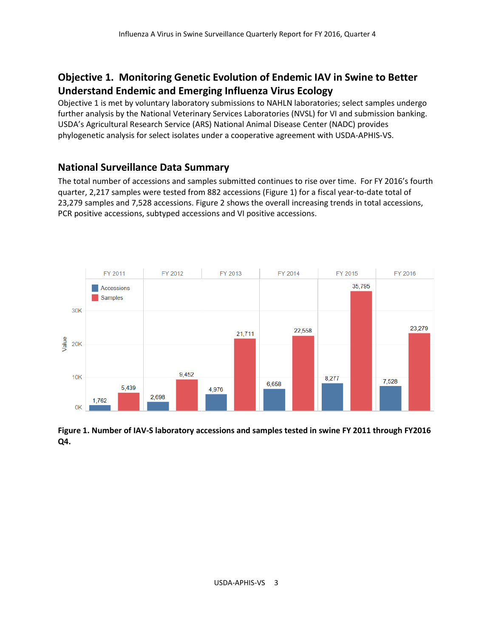### **Objective 1. Monitoring Genetic Evolution of Endemic IAV in Swine to Better Understand Endemic and Emerging Influenza Virus Ecology**

Objective 1 is met by voluntary laboratory submissions to NAHLN laboratories; select samples undergo further analysis by the National Veterinary Services Laboratories (NVSL) for VI and submission banking. USDA's Agricultural Research Service (ARS) National Animal Disease Center (NADC) provides phylogenetic analysis for select isolates under a cooperative agreement with USDA-APHIS-VS.

### **National Surveillance Data Summary**

The total number of accessions and samples submitted continues to rise over time. For FY 2016's fourth quarter, 2,217 samples were tested from 882 accessions (Figure 1) for a fiscal year-to-date total of 23,279 samples and 7,528 accessions. Figure 2 shows the overall increasing trends in total accessions, PCR positive accessions, subtyped accessions and VI positive accessions.



**Figure 1. Number of IAV-S laboratory accessions and samples tested in swine FY 2011 through FY2016 Q4.**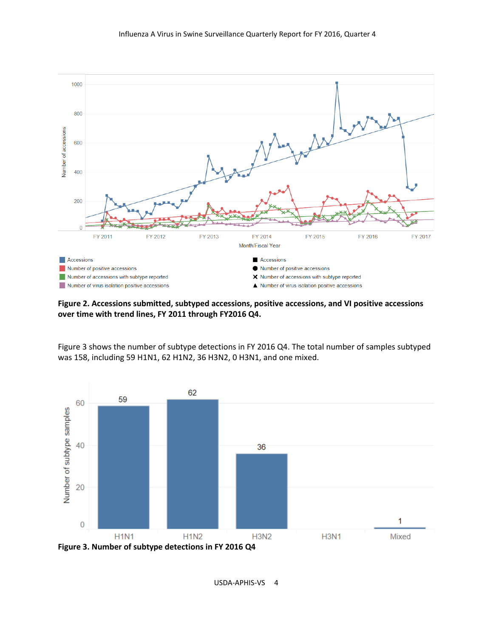

**Figure 2. Accessions submitted, subtyped accessions, positive accessions, and VI positive accessions over time with trend lines, FY 2011 through FY2016 Q4.**

Figure 3 shows the number of subtype detections in FY 2016 Q4. The total number of samples subtyped was 158, including 59 H1N1, 62 H1N2, 36 H3N2, 0 H3N1, and one mixed.

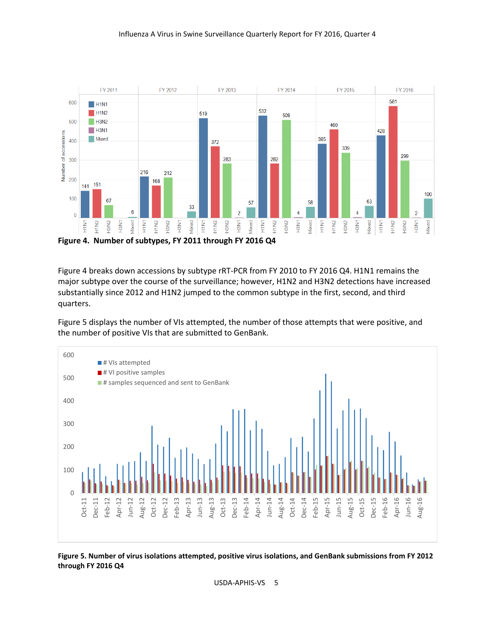

Figure 4 breaks down accessions by subtype rRT-PCR from FY 2010 to FY 2016 Q4. H1N1 remains the major subtype over the course of the surveillance; however, H1N2 and H3N2 detections have increased substantially since 2012 and H1N2 jumped to the common subtype in the first, second, and third quarters.

Figure 5 displays the number of VIs attempted, the number of those attempts that were positive, and the number of positive VIs that are submitted to GenBank.



**Figure 5. Number of virus isolations attempted, positive virus isolations, and GenBank submissions from FY 2012 through FY 2016 Q4**

USDA-APHIS-VS 5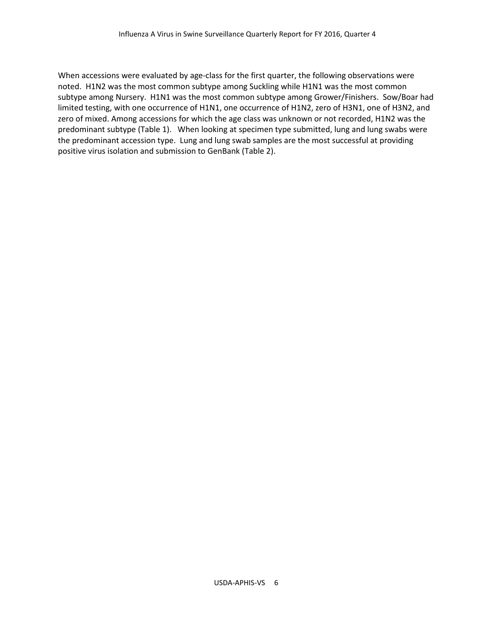When accessions were evaluated by age-class for the first quarter, the following observations were noted. H1N2 was the most common subtype among Suckling while H1N1 was the most common subtype among Nursery. H1N1 was the most common subtype among Grower/Finishers. Sow/Boar had limited testing, with one occurrence of H1N1, one occurrence of H1N2, zero of H3N1, one of H3N2, and zero of mixed. Among accessions for which the age class was unknown or not recorded, H1N2 was the predominant subtype (Table 1). When looking at specimen type submitted, lung and lung swabs were the predominant accession type. Lung and lung swab samples are the most successful at providing positive virus isolation and submission to GenBank (Table 2).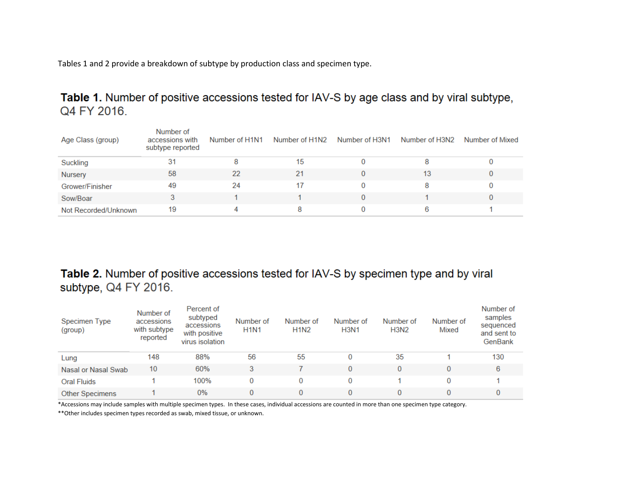Tables 1 and 2 provide a breakdown of subtype by production class and specimen type.

Table 1. Number of positive accessions tested for IAV-S by age class and by viral subtype, Q4 FY 2016.

| Age Class (group)    | Number of<br>accessions with<br>subtype reported | Number of H1N1 | Number of H1N2 | Number of H3N1 | Number of H3N2 | Number of Mixed |
|----------------------|--------------------------------------------------|----------------|----------------|----------------|----------------|-----------------|
| Suckling             | 31                                               |                | 15             |                |                |                 |
| Nursery              | 58                                               | 22             | 21             |                | 13             |                 |
| Grower/Finisher      | 49                                               | 24             |                |                |                |                 |
| Sow/Boar             |                                                  |                |                |                |                |                 |
| Not Recorded/Unknown | 19                                               | 4              |                |                |                |                 |

## Table 2. Number of positive accessions tested for IAV-S by specimen type and by viral subtype, Q4 FY 2016.

| Specimen Type<br>(group) | Number of<br>accessions<br>with subtype<br>reported | Percent of<br>subtyped<br>accessions<br>with positive<br>virus isolation | Number of<br><b>H1N1</b> | Number of<br><b>H1N2</b> | Number of<br><b>H3N1</b> | Number of<br><b>H3N2</b> | Number of<br>Mixed | Number of<br>samples<br>sequenced<br>and sent to<br>GenBank |
|--------------------------|-----------------------------------------------------|--------------------------------------------------------------------------|--------------------------|--------------------------|--------------------------|--------------------------|--------------------|-------------------------------------------------------------|
| Lung                     | 148                                                 | 88%                                                                      | 56                       | 55                       | 0                        | 35                       |                    | 130                                                         |
| Nasal or Nasal Swab      | 10                                                  | 60%                                                                      | 3                        |                          | 0                        | 0                        |                    | 6                                                           |
| <b>Oral Fluids</b>       |                                                     | 100%                                                                     |                          | 0                        | 0                        |                          |                    |                                                             |
| <b>Other Specimens</b>   |                                                     | $0\%$                                                                    | 0                        | 0                        | 0                        |                          |                    |                                                             |

\*Accessions may include samples with multiple specimen types. In these cases, individual accessions are counted in more than one specimen type category.

\*\*Other includes specimen types recorded as swab, mixed tissue, or unknown.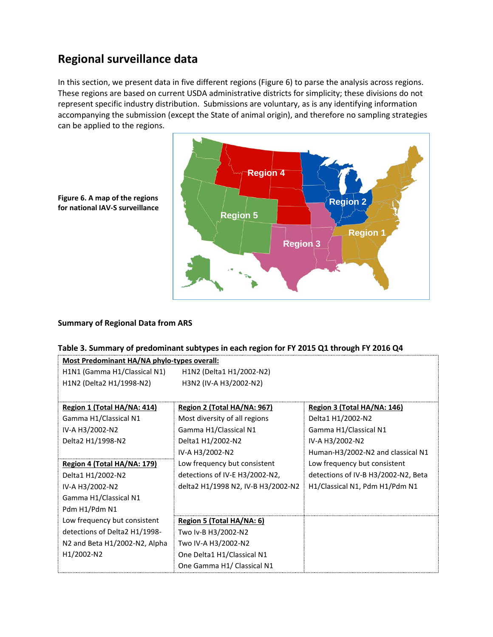## **Regional surveillance data**

In this section, we present data in five different regions (Figure 6) to parse the analysis across regions. These regions are based on current USDA administrative districts for simplicity; these divisions do not represent specific industry distribution. Submissions are voluntary, as is any identifying information accompanying the submission (except the State of animal origin), and therefore no sampling strategies can be applied to the regions.



**Figure 6. A map of the regions for national IAV-S surveillance**

#### **Summary of Regional Data from ARS**

#### **Table 3. Summary of predominant subtypes in each region for FY 2015 Q1 through FY 2016 Q4**

| Most Predominant HA/NA phylo-types overall: |                                    |                                     |  |  |  |
|---------------------------------------------|------------------------------------|-------------------------------------|--|--|--|
| H1N1 (Gamma H1/Classical N1)                | H1N2 (Delta1 H1/2002-N2)           |                                     |  |  |  |
| H1N2 (Delta2 H1/1998-N2)                    | H3N2 (IV-A H3/2002-N2)             |                                     |  |  |  |
|                                             |                                    |                                     |  |  |  |
| Region 1 (Total HA/NA: 414)                 | Region 2 (Total HA/NA: 967)        | Region 3 (Total HA/NA: 146)         |  |  |  |
| Gamma H1/Classical N1                       | Most diversity of all regions      | Delta1 H1/2002-N2                   |  |  |  |
| IV-A H3/2002-N2                             | Gamma H1/Classical N1              | Gamma H1/Classical N1               |  |  |  |
| Delta2 H1/1998-N2                           | Delta1 H1/2002-N2                  | IV-A H3/2002-N2                     |  |  |  |
|                                             | IV-A H3/2002-N2                    | Human-H3/2002-N2 and classical N1   |  |  |  |
| Region 4 (Total HA/NA: 179)                 | Low frequency but consistent       | Low frequency but consistent        |  |  |  |
| Delta1 H1/2002-N2                           | detections of IV-E H3/2002-N2,     | detections of IV-B H3/2002-N2, Beta |  |  |  |
| IV-A H3/2002-N2                             | delta2 H1/1998 N2, IV-B H3/2002-N2 | H1/Classical N1, Pdm H1/Pdm N1      |  |  |  |
| Gamma H1/Classical N1                       |                                    |                                     |  |  |  |
| Pdm H1/Pdm N1                               |                                    |                                     |  |  |  |
| Low frequency but consistent                | Region 5 (Total HA/NA: 6)          |                                     |  |  |  |
| detections of Delta2 H1/1998-               | Two Iv-B H3/2002-N2                |                                     |  |  |  |
| N2 and Beta H1/2002-N2, Alpha               | Two IV-A H3/2002-N2                |                                     |  |  |  |
| H <sub>1</sub> /2002-N <sub>2</sub>         | One Delta1 H1/Classical N1         |                                     |  |  |  |
|                                             | One Gamma H1/ Classical N1         |                                     |  |  |  |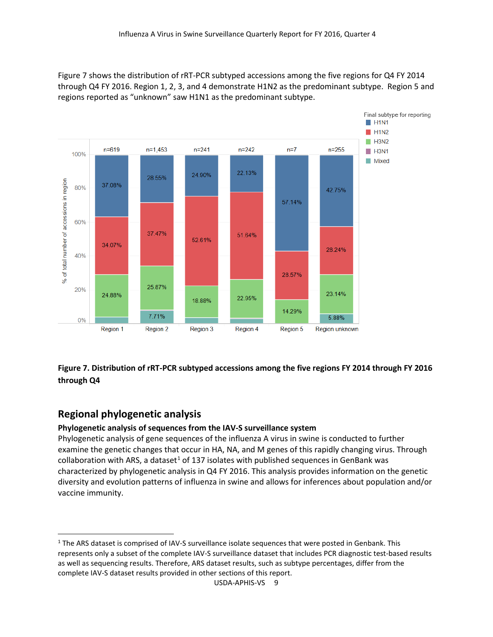Figure 7 shows the distribution of rRT-PCR subtyped accessions among the five regions for Q4 FY 2014 through Q4 FY 2016. Region 1, 2, 3, and 4 demonstrate H1N2 as the predominant subtype. Region 5 and regions reported as "unknown" saw H1N1 as the predominant subtype.



### **Figure 7. Distribution of rRT-PCR subtyped accessions among the five regions FY 2014 through FY 2016 through Q4**

### **Regional phylogenetic analysis**

#### **Phylogenetic analysis of sequences from the IAV-S surveillance system**

Phylogenetic analysis of gene sequences of the influenza A virus in swine is conducted to further examine the genetic changes that occur in HA, NA, and M genes of this rapidly changing virus. Through collaboration with ARS, a dataset<sup>1</sup> of 137 isolates with published sequences in GenBank was characterized by phylogenetic analysis in Q4 FY 2016. This analysis provides information on the genetic diversity and evolution patterns of influenza in swine and allows for inferences about population and/or vaccine immunity.

<span id="page-8-0"></span> $1$  The ARS dataset is comprised of IAV-S surveillance isolate sequences that were posted in Genbank. This represents only a subset of the complete IAV-S surveillance dataset that includes PCR diagnostic test-based results as well as sequencing results. Therefore, ARS dataset results, such as subtype percentages, differ from the complete IAV-S dataset results provided in other sections of this report.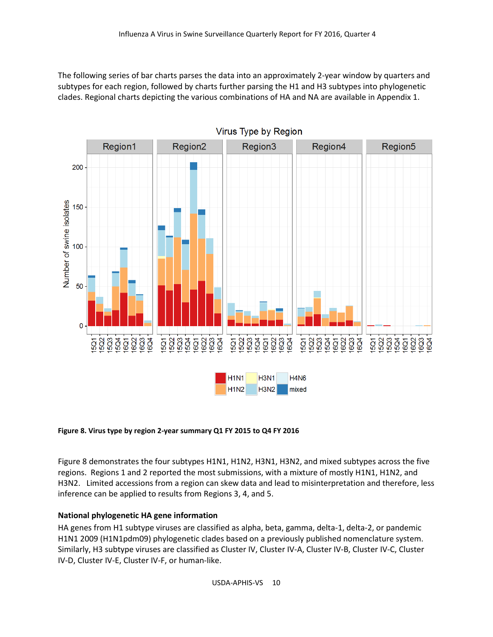The following series of bar charts parses the data into an approximately 2-year window by quarters and subtypes for each region, followed by charts further parsing the H1 and H3 subtypes into phylogenetic clades. Regional charts depicting the various combinations of HA and NA are available in Appendix 1.



#### **Figure 8. Virus type by region 2-year summary Q1 FY 2015 to Q4 FY 2016**

Figure 8 demonstrates the four subtypes H1N1, H1N2, H3N1, H3N2, and mixed subtypes across the five regions. Regions 1 and 2 reported the most submissions, with a mixture of mostly H1N1, H1N2, and H3N2. Limited accessions from a region can skew data and lead to misinterpretation and therefore, less inference can be applied to results from Regions 3, 4, and 5.

#### **National phylogenetic HA gene information**

HA genes from H1 subtype viruses are classified as alpha, beta, gamma, delta-1, delta-2, or pandemic H1N1 2009 (H1N1pdm09) phylogenetic clades based on a previously published nomenclature system. Similarly, H3 subtype viruses are classified as Cluster IV, Cluster IV-A, Cluster IV-B, Cluster IV-C, Cluster IV-D, Cluster IV-E, Cluster IV-F, or human-like.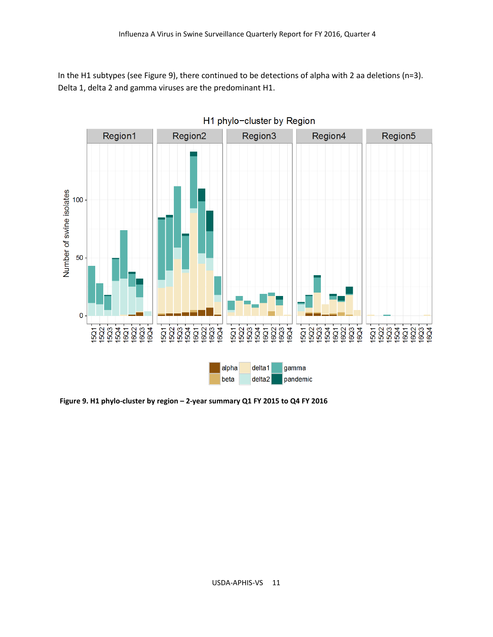In the H1 subtypes (see Figure 9), there continued to be detections of alpha with 2 aa deletions (n=3). Delta 1, delta 2 and gamma viruses are the predominant H1.



H1 phylo-cluster by Region

**Figure 9. H1 phylo-cluster by region – 2-year summary Q1 FY 2015 to Q4 FY 2016**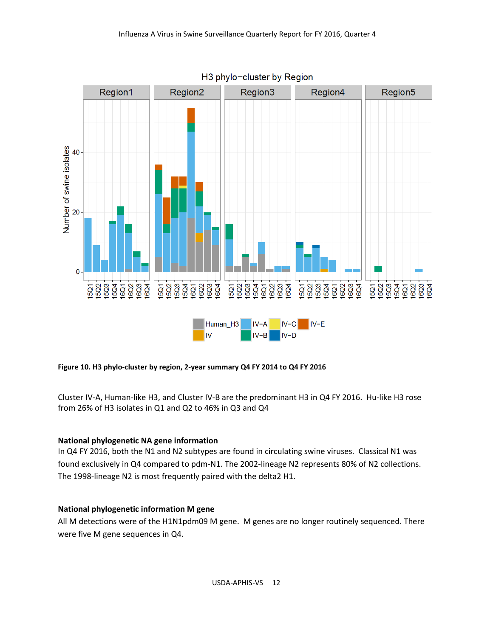

**Figure 10. H3 phylo-cluster by region, 2-year summary Q4 FY 2014 to Q4 FY 2016**

Cluster IV-A, Human-like H3, and Cluster IV-B are the predominant H3 in Q4 FY 2016. Hu-like H3 rose from 26% of H3 isolates in Q1 and Q2 to 46% in Q3 and Q4

#### **National phylogenetic NA gene information**

In Q4 FY 2016, both the N1 and N2 subtypes are found in circulating swine viruses. Classical N1 was found exclusively in Q4 compared to pdm-N1. The 2002-lineage N2 represents 80% of N2 collections. The 1998-lineage N2 is most frequently paired with the delta2 H1.

#### **National phylogenetic information M gene**

All M detections were of the H1N1pdm09 M gene. M genes are no longer routinely sequenced. There were five M gene sequences in Q4.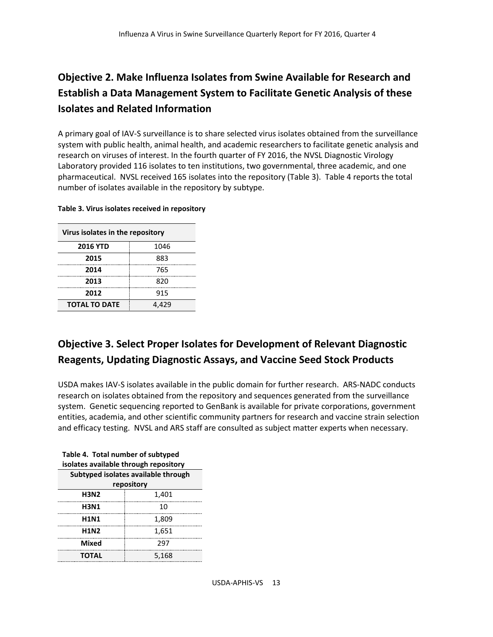## **Objective 2. Make Influenza Isolates from Swine Available for Research and Establish a Data Management System to Facilitate Genetic Analysis of these Isolates and Related Information**

A primary goal of IAV-S surveillance is to share selected virus isolates obtained from the surveillance system with public health, animal health, and academic researchers to facilitate genetic analysis and research on viruses of interest. In the fourth quarter of FY 2016, the NVSL Diagnostic Virology Laboratory provided 116 isolates to ten institutions, two governmental, three academic, and one pharmaceutical. NVSL received 165 isolates into the repository (Table 3). Table 4 reports the total number of isolates available in the repository by subtype.

| Virus isolates in the repository |       |  |  |
|----------------------------------|-------|--|--|
| <b>2016 YTD</b>                  | 1046  |  |  |
| 2015                             | 883   |  |  |
| 2014                             | 765   |  |  |
| 2013                             | 820   |  |  |
| 2012                             | 915   |  |  |
| <b>TOTAL TO DATE</b>             | 4,429 |  |  |

#### **Table 3. Virus isolates received in repository**

## **Objective 3. Select Proper Isolates for Development of Relevant Diagnostic Reagents, Updating Diagnostic Assays, and Vaccine Seed Stock Products**

USDA makes IAV-S isolates available in the public domain for further research. ARS-NADC conducts research on isolates obtained from the repository and sequences generated from the surveillance system. Genetic sequencing reported to GenBank is available for private corporations, government entities, academia, and other scientific community partners for research and vaccine strain selection and efficacy testing. NVSL and ARS staff are consulted as subject matter experts when necessary.

| isolates available through repository |       |  |  |  |
|---------------------------------------|-------|--|--|--|
| Subtyped isolates available through   |       |  |  |  |
| repository                            |       |  |  |  |
| <b>H3N2</b>                           | 1,401 |  |  |  |
| H3N1                                  | 10    |  |  |  |
| <b>H1N1</b>                           | 1,809 |  |  |  |
| <b>H1N2</b>                           | 1,651 |  |  |  |
| Mixed                                 | 297   |  |  |  |
| <b>TOTAL</b>                          | 5,168 |  |  |  |

**Table 4. Total number of subtyped isolates available through repository**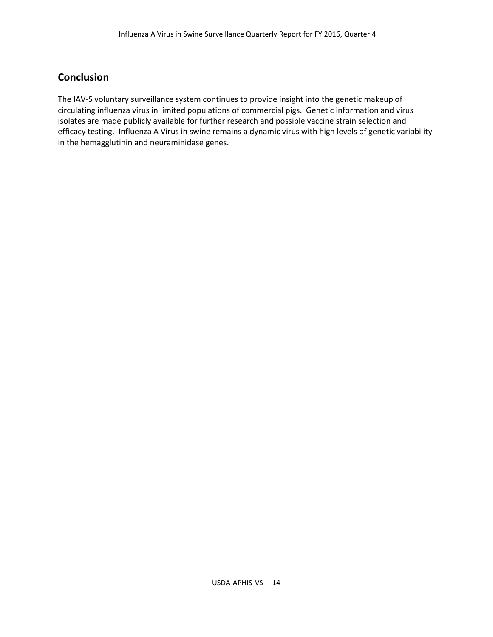### **Conclusion**

The IAV-S voluntary surveillance system continues to provide insight into the genetic makeup of circulating influenza virus in limited populations of commercial pigs. Genetic information and virus isolates are made publicly available for further research and possible vaccine strain selection and efficacy testing. Influenza A Virus in swine remains a dynamic virus with high levels of genetic variability in the hemagglutinin and neuraminidase genes.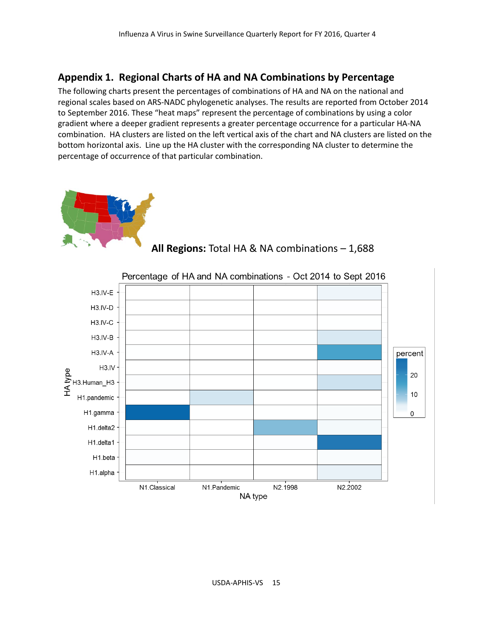### **Appendix 1. Regional Charts of HA and NA Combinations by Percentage**

The following charts present the percentages of combinations of HA and NA on the national and regional scales based on ARS-NADC phylogenetic analyses. The results are reported from October 2014 to September 2016. These "heat maps" represent the percentage of combinations by using a color gradient where a deeper gradient represents a greater percentage occurrence for a particular HA-NA combination. HA clusters are listed on the left vertical axis of the chart and NA clusters are listed on the bottom horizontal axis. Line up the HA cluster with the corresponding NA cluster to determine the percentage of occurrence of that particular combination.





**All Regions:** Total HA & NA combinations – 1,688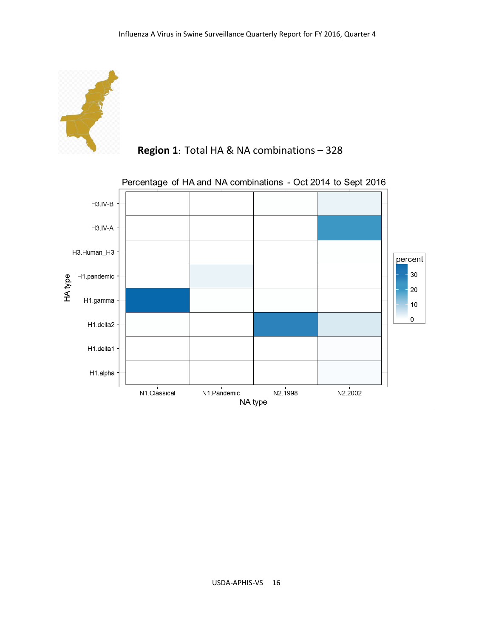

 **Region 1**: Total HA & NA combinations – 328

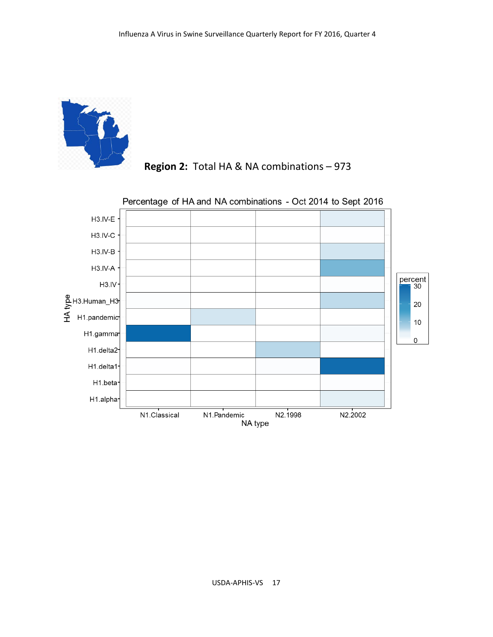



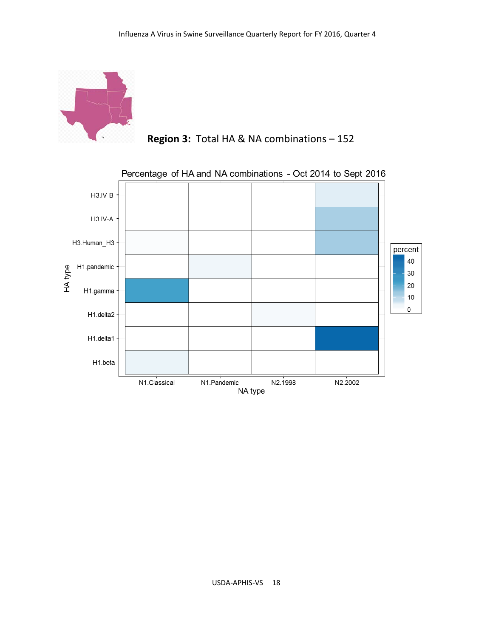

 **Region 3:** Total HA & NA combinations – 152

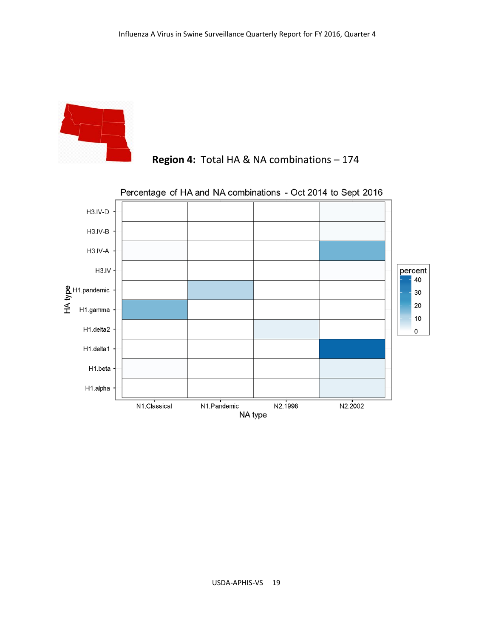



## **Region 4:** Total HA & NA combinations – 174